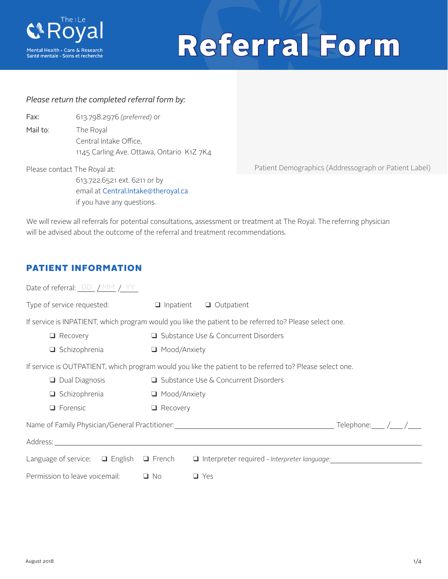

# Referral Form

#### *Please return the completed referral form by:*

| Fax:     | 613.798.2976 (preferred) or               |
|----------|-------------------------------------------|
| Mail to: | The Royal                                 |
|          | Central Intake Office,                    |
|          | 1145 Carling Ave. Ottawa, Ontario K1Z 7K4 |

Please contact The Royal at:

613.722.6521 ext. 6211 or by email at Central.Intake@theroyal.ca if you have any questions.

Patient Demographics (Addressograph or Patient Label)

We will review all referrals for potential consultations, assessment or treatment at The Royal. The referring physician will be advised about the outcome of the referral and treatment recommendations.

#### PATIENT INFORMATION

| Date of referral: $DD / MM / YY$                      |                     |                                                                                                          |
|-------------------------------------------------------|---------------------|----------------------------------------------------------------------------------------------------------|
| Type of service requested:                            | $\Box$ Inpatient    | $\Box$ Outpatient                                                                                        |
|                                                       |                     | If service is INPATIENT, which program would you like the patient to be referred to? Please select one.  |
| $\Box$ Recovery                                       |                     | □ Substance Use & Concurrent Disorders                                                                   |
| $\Box$ Schizophrenia                                  | ■ Mood/Anxiety      |                                                                                                          |
|                                                       |                     | If service is OUTPATIENT, which program would you like the patient to be referred to? Please select one. |
| $\Box$ Dual Diagnosis                                 |                     | □ Substance Use & Concurrent Disorders                                                                   |
| $\Box$ Schizophrenia                                  | $\Box$ Mood/Anxiety |                                                                                                          |
| $\Box$ Forensic                                       | $\Box$ Recovery     |                                                                                                          |
|                                                       |                     | Telephone: $\angle$ / $\angle$                                                                           |
| Address: <u>www.community.community.community.com</u> |                     |                                                                                                          |
| Language of service: $\Box$ English $\Box$ French     |                     | $\Box$ Interpreter required - Interpreter language:                                                      |
| Permission to leave voicemail:                        | $\Box$ No           | $\Box$ Yes                                                                                               |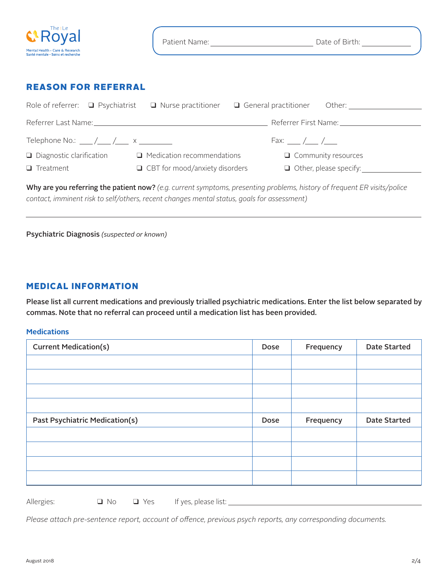| The i Le<br><b>G</b> Royal                                            | Patient Name: | Date of Birth: |
|-----------------------------------------------------------------------|---------------|----------------|
| Mental Health - Care & Research<br>Santé mentale - Soins et recherche |               |                |
|                                                                       |               |                |

#### REASON FOR REFERRAL

| Role of referrer: $\Box$ Psychiatrist    | $\Box$ Nurse practitioner $\Box$ General practitioner Other:                                                                                                                                                                   |                            |                               |
|------------------------------------------|--------------------------------------------------------------------------------------------------------------------------------------------------------------------------------------------------------------------------------|----------------------------|-------------------------------|
|                                          | Referrer Last Name: University of the Contract of the Contract of the Contract of the Contract of the Contract of the Contract of the Contract of the Contract of the Contract of the Contract of the Contract of the Contract |                            |                               |
| Telephone No.: ____/____/____ x ________ |                                                                                                                                                                                                                                | Fax: $\angle$ / /          |                               |
| $\Box$ Diagnostic clarification          | $\Box$ Medication recommendations                                                                                                                                                                                              | $\Box$ Community resources |                               |
| $\Box$ Treatment                         | $\Box$ CBT for mood/anxiety disorders                                                                                                                                                                                          |                            | $\Box$ Other, please specify: |

Why are you referring the patient now? *(e.g. current symptoms, presenting problems, history of frequent ER visits/police contact, imminent risk to self/others, recent changes mental status, goals for assessment)*

Psychiatric Diagnosis *(suspected or known)*

#### MEDICAL INFORMATION

Please list all current medications and previously trialled psychiatric medications. Enter the list below separated by commas. Note that no referral can proceed until a medication list has been provided.

#### **Medications**

| <b>Current Medication(s)</b>   | Dose | Frequency | <b>Date Started</b> |
|--------------------------------|------|-----------|---------------------|
|                                |      |           |                     |
|                                |      |           |                     |
|                                |      |           |                     |
|                                |      |           |                     |
| Past Psychiatric Medication(s) | Dose | Frequency | <b>Date Started</b> |
|                                |      |           |                     |
|                                |      |           |                     |
|                                |      |           |                     |
|                                |      |           |                     |

Allergies:  $\Box$  No  $\Box$  Yes If yes, please list: \_\_\_\_\_\_\_\_\_\_\_\_\_\_\_\_\_\_\_\_\_\_\_\_\_\_\_\_\_\_\_\_

*Please attach pre-sentence report, account of offence, previous psych reports, any corresponding documents.*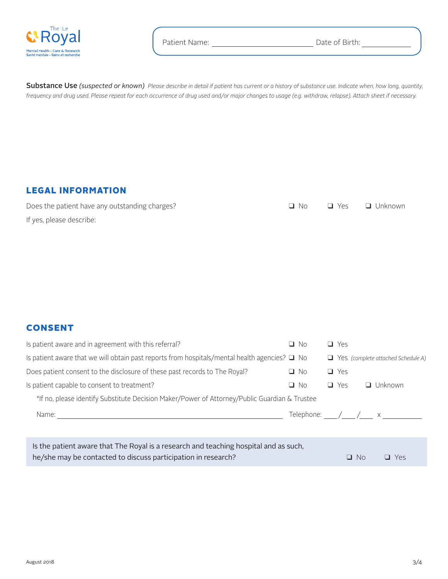

Substance Use *(suspected or known) Please describe in detail if patient has current or a history of substance use. Indicate when, how long, quantity, frequency and drug used. Please repeat for each occurrence of drug used and/or major changes to usage (e.g. withdraw, relapse). Attach sheet if necessary.*

#### LEGAL INFORMATION

| Does the patient have any outstanding charges? |  | $\Box$ No $\Box$ Yes $\Box$ Unknown |
|------------------------------------------------|--|-------------------------------------|
| If yes, please describe:                       |  |                                     |

#### CONSENT

| Is patient aware and in agreement with this referral?                                              | O No                                  | $\Box$ Yes |           |                                           |  |
|----------------------------------------------------------------------------------------------------|---------------------------------------|------------|-----------|-------------------------------------------|--|
| Is patient aware that we will obtain past reports from hospitals/mental health agencies? $\Box$ No |                                       |            |           | $\Box$ Yes (complete attached Schedule A) |  |
| Does patient consent to the disclosure of these past records to The Royal?                         | $\Box$ No                             | $\Box$ Yes |           |                                           |  |
| Is patient capable to consent to treatment?                                                        | - No<br>Q.                            | $\Box$ Yes |           | $\Box$ Unknown                            |  |
| *If no, please identify Substitute Decision Maker/Power of Attorney/Public Guardian & Trustee      |                                       |            |           |                                           |  |
| Name:                                                                                              | Telephone: $\angle$ $\angle$ $\times$ |            |           |                                           |  |
|                                                                                                    |                                       |            |           |                                           |  |
| Is the patient aware that The Royal is a research and teaching hospital and as such,               |                                       |            |           |                                           |  |
| he/she may be contacted to discuss participation in research?                                      |                                       |            | $\Box$ No | Yes                                       |  |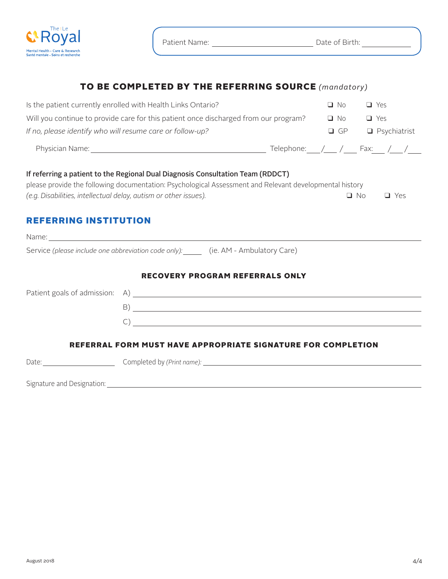

## TO BE COMPLETED BY THE REFERRING SOURCE *(mandatory)*

| Is the patient currently enrolled with Health Links Ontario?                                                                                                                                                                                                   | $\Box$ No | $\Box$ Yes                                |
|----------------------------------------------------------------------------------------------------------------------------------------------------------------------------------------------------------------------------------------------------------------|-----------|-------------------------------------------|
| Will you continue to provide care for this patient once discharged from our program?                                                                                                                                                                           | $\Box$ No | $\Box$ Yes                                |
| If no, please identify who will resume care or follow-up?                                                                                                                                                                                                      | $\Box$ GP | $\Box$ Psychiatrist                       |
|                                                                                                                                                                                                                                                                |           | Telephone:____/____ / ____ Fax:___ /____/ |
| If referring a patient to the Regional Dual Diagnosis Consultation Team (RDDCT)<br>please provide the following documentation: Psychological Assessment and Relevant developmental history<br>(e.g. Disabilities, intellectual delay, autism or other issues). |           | $\Box$ No<br>$\Box$ Yes                   |
| <b>REFERRING INSTITUTION</b>                                                                                                                                                                                                                                   |           |                                           |
| Name: https://www.archive.com/communications/communications/communications/communications/communications/communications/communications/communications/communications/communications/communications/communications/communicatio                                 |           |                                           |
| Service (please include one abbreviation code only): (ie. AM - Ambulatory Care)                                                                                                                                                                                |           |                                           |
| <b>RECOVERY PROGRAM REFERRALS ONLY</b>                                                                                                                                                                                                                         |           |                                           |

## Patient goals of admission: A) B) and the contract of the contract of the contract of the contract of the contract of the contract of the contract of the contract of the contract of the contract of the contract of the contract of the contract of the con  $\overline{C}$ ) REFERRAL FORM MUST HAVE APPROPRIATE SIGNATURE FOR COMPLETION

Date: Completed by (Print name): Completed by (Print name): Completed by (Print name): Completed by (Print name):

Signature and Designation: